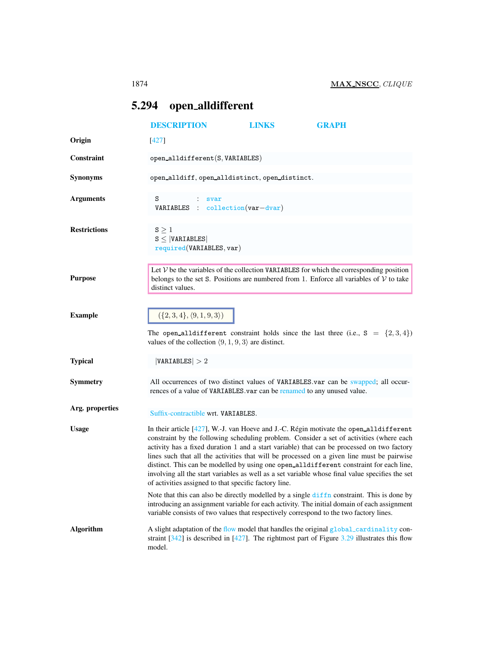## <span id="page-0-0"></span>5.294 open alldifferent

|                     | <b>DESCRIPTION</b>                                                                                                                                                                                                                                                                                                                                                                                                                                                                                                                                                                                                                                                                                                                                                                                                                                                                                                           | <b>LINKS</b> | <b>GRAPH</b> |  |
|---------------------|------------------------------------------------------------------------------------------------------------------------------------------------------------------------------------------------------------------------------------------------------------------------------------------------------------------------------------------------------------------------------------------------------------------------------------------------------------------------------------------------------------------------------------------------------------------------------------------------------------------------------------------------------------------------------------------------------------------------------------------------------------------------------------------------------------------------------------------------------------------------------------------------------------------------------|--------------|--------------|--|
| Origin              | $[427]$                                                                                                                                                                                                                                                                                                                                                                                                                                                                                                                                                                                                                                                                                                                                                                                                                                                                                                                      |              |              |  |
| <b>Constraint</b>   | $open\_alldifferent(S, VARIABLES)$                                                                                                                                                                                                                                                                                                                                                                                                                                                                                                                                                                                                                                                                                                                                                                                                                                                                                           |              |              |  |
| <b>Synonyms</b>     | open_alldiff, open_alldistinct, open_distinct.                                                                                                                                                                                                                                                                                                                                                                                                                                                                                                                                                                                                                                                                                                                                                                                                                                                                               |              |              |  |
| <b>Arguments</b>    | S<br>svar<br>$VARIABLES$ : collection(var-dvar)                                                                                                                                                                                                                                                                                                                                                                                                                                                                                                                                                                                                                                                                                                                                                                                                                                                                              |              |              |  |
| <b>Restrictions</b> | $S \geq 1$<br>$S \leq  VARIABLES $<br>required(VARIABLES, var)                                                                                                                                                                                                                                                                                                                                                                                                                                                                                                                                                                                                                                                                                                                                                                                                                                                               |              |              |  |
| <b>Purpose</b>      | Let $V$ be the variables of the collection VARIABLES for which the corresponding position<br>belongs to the set S. Positions are numbered from 1. Enforce all variables of $V$ to take<br>distinct values.                                                                                                                                                                                                                                                                                                                                                                                                                                                                                                                                                                                                                                                                                                                   |              |              |  |
| <b>Example</b>      | $({2, 3, 4}, {9, 1, 9, 3})$<br>The open all different constraint holds since the last three (i.e., $S = \{2,3,4\}$ )<br>values of the collection $\langle 9, 1, 9, 3 \rangle$ are distinct.                                                                                                                                                                                                                                                                                                                                                                                                                                                                                                                                                                                                                                                                                                                                  |              |              |  |
| <b>Typical</b>      | VARIABLES  > 2                                                                                                                                                                                                                                                                                                                                                                                                                                                                                                                                                                                                                                                                                                                                                                                                                                                                                                               |              |              |  |
| <b>Symmetry</b>     | All occurrences of two distinct values of VARIABLES.var can be swapped; all occur-<br>rences of a value of VARIABLES.var can be renamed to any unused value.                                                                                                                                                                                                                                                                                                                                                                                                                                                                                                                                                                                                                                                                                                                                                                 |              |              |  |
| Arg. properties     | Suffix-contractible wrt. VARIABLES.                                                                                                                                                                                                                                                                                                                                                                                                                                                                                                                                                                                                                                                                                                                                                                                                                                                                                          |              |              |  |
| <b>Usage</b>        | In their article [427], W.-J. van Hoeve and J.-C. Régin motivate the open_alldifferent<br>constraint by the following scheduling problem. Consider a set of activities (where each<br>activity has a fixed duration 1 and a start variable) that can be processed on two factory<br>lines such that all the activities that will be processed on a given line must be pairwise<br>distinct. This can be modelled by using one open_alldifferent constraint for each line,<br>involving all the start variables as well as a set variable whose final value specifies the set<br>of activities assigned to that specific factory line.<br>Note that this can also be directly modelled by a single diffn constraint. This is done by<br>introducing an assignment variable for each activity. The initial domain of each assignment<br>variable consists of two values that respectively correspond to the two factory lines. |              |              |  |
| <b>Algorithm</b>    | A slight adaptation of the flow model that handles the original global_cardinality con-<br>straint $[342]$ is described in $[427]$ . The rightmost part of Figure 3.29 illustrates this flow<br>model.                                                                                                                                                                                                                                                                                                                                                                                                                                                                                                                                                                                                                                                                                                                       |              |              |  |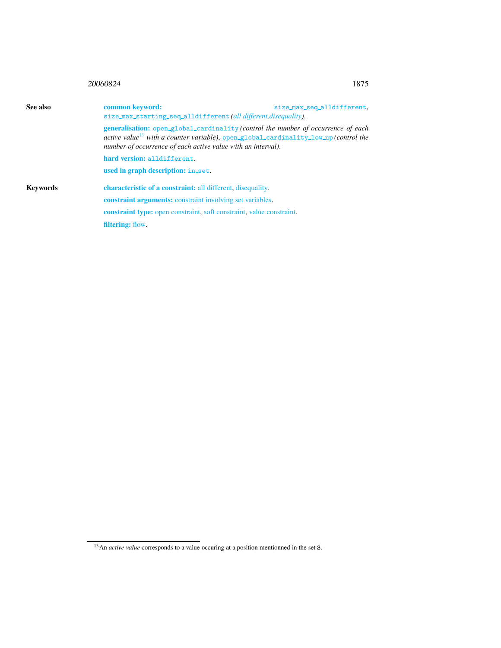| 20060824 | 1875 |
|----------|------|
|          |      |

<span id="page-1-0"></span>

| See also | common keyword:<br>size_max_seq_alldifferent,<br>size_max_starting_seq_alldifferent(all different, disequality).                                                                                                                                             |  |  |
|----------|--------------------------------------------------------------------------------------------------------------------------------------------------------------------------------------------------------------------------------------------------------------|--|--|
|          | <b>generalisation:</b> open_global_cardinality (control the number of occurrence of each<br>active value <sup>13</sup> with a counter variable), open_global_cardinality_low_up (control the<br>number of occurrence of each active value with an interval). |  |  |
|          | hard version: alldifferent.                                                                                                                                                                                                                                  |  |  |
|          | used in graph description: in_set.                                                                                                                                                                                                                           |  |  |
| Keywords | <b>characteristic of a constraint:</b> all different, disequality.                                                                                                                                                                                           |  |  |
|          | <b>constraint arguments:</b> constraint involving set variables.                                                                                                                                                                                             |  |  |
|          | <b>constraint type:</b> open constraint, soft constraint, value constraint.                                                                                                                                                                                  |  |  |
|          | filtering: flow.                                                                                                                                                                                                                                             |  |  |

<span id="page-1-1"></span><sup>&</sup>lt;sup>13</sup>An *active value* corresponds to a value occuring at a position mentionned in the set S.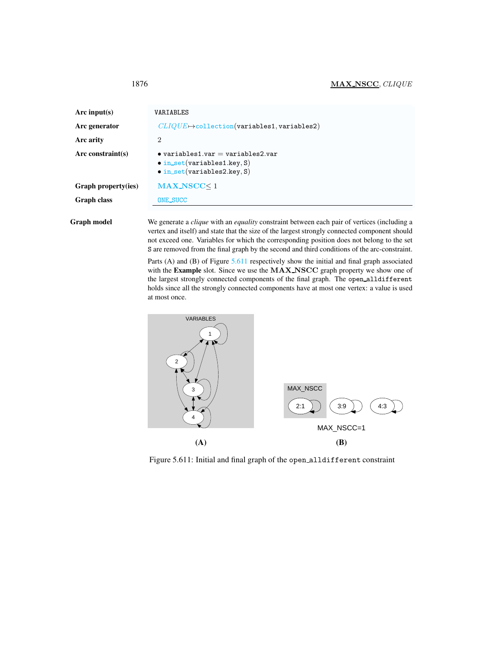<span id="page-2-0"></span>

| Arc input(s)        | VARIABLES                                                                                                               |  |  |
|---------------------|-------------------------------------------------------------------------------------------------------------------------|--|--|
| Arc generator       | $CLIQUE \rightarrow collection(variables1, variables2)$                                                                 |  |  |
| Arc arity           | $\overline{2}$                                                                                                          |  |  |
| $Arc$ constraint(s) | $\bullet$ variables1.var = variables2.var<br>$\bullet$ in_set(variables1.key, S)<br>$\bullet$ in_set(variables2.key, S) |  |  |
| Graph property(ies) | $MAX_NSCC < 1$                                                                                                          |  |  |
| <b>Graph class</b>  | <b>ONE_SUCC</b>                                                                                                         |  |  |
|                     |                                                                                                                         |  |  |

Graph model We generate a *clique* with an *equality* constraint between each pair of vertices (including a vertex and itself) and state that the size of the largest strongly connected component should not exceed one. Variables for which the corresponding position does not belong to the set S are removed from the final graph by the second and third conditions of the arc-constraint.

> Parts (A) and (B) of Figure [5.611](#page-2-1) respectively show the initial and final graph associated with the Example slot. Since we use the MAX\_NSCC graph property we show one of the largest strongly connected components of the final graph. The open alldifferent holds since all the strongly connected components have at most one vertex: a value is used at most once.



<span id="page-2-1"></span>Figure 5.611: Initial and final graph of the open alldifferent constraint